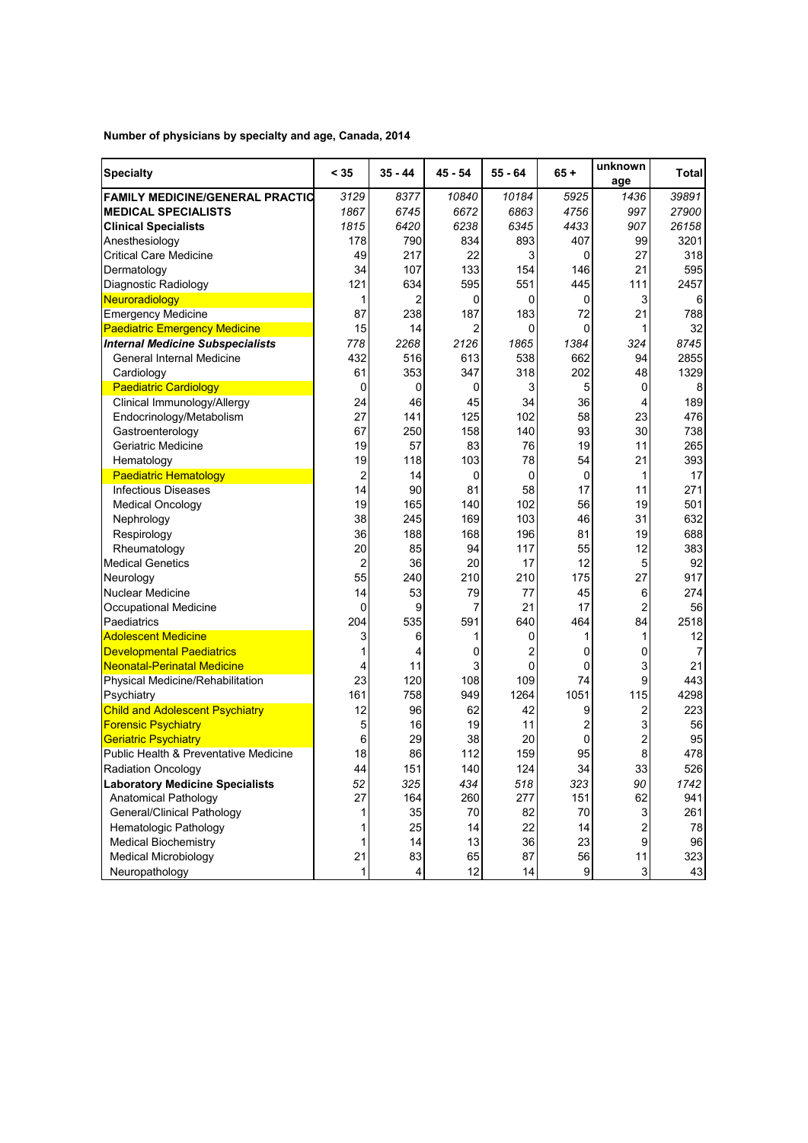**Number of physicians by specialty and age, Canada, 2014** 

| <b>Specialty</b>                        | < 35           | $35 - 44$      | $45 - 54$ | $55 - 64$ | $65 +$           | unknown<br>age            | Total |
|-----------------------------------------|----------------|----------------|-----------|-----------|------------------|---------------------------|-------|
| <b>FAMILY MEDICINE/GENERAL PRACTIC</b>  | 3129           | 8377           | 10840     | 10184     | 5925             | 1436                      | 39891 |
| <b>MEDICAL SPECIALISTS</b>              | 1867           | 6745           | 6672      | 6863      | 4756             | 997                       | 27900 |
| <b>Clinical Specialists</b>             | 1815           | 6420           | 6238      | 6345      | 4433             | 907                       | 26158 |
| Anesthesiology                          | 178            | 790            | 834       | 893       | 407              | 99                        | 3201  |
| <b>Critical Care Medicine</b>           | 49             | 217            | 22        | 3         | 0                | 27                        | 318   |
| Dermatology                             | 34             | 107            | 133       | 154       | 146              | 21                        | 595   |
| Diagnostic Radiology                    | 121            | 634            | 595       | 551       | 445              | 111                       | 2457  |
| Neuroradiology                          | 1              | $\overline{2}$ | 0         | 0         | 0                | 3                         | 6     |
| <b>Emergency Medicine</b>               | 87             | 238            | 187       | 183       | 72               | 21                        | 788   |
| <b>Paediatric Emergency Medicine</b>    | 15             | 14             | 2         | 0         | 0                | 1                         | 32    |
| <b>Internal Medicine Subspecialists</b> | 778            | 2268           | 2126      | 1865      | 1384             | 324                       | 8745  |
| General Internal Medicine               | 432            | 516            | 613       | 538       | 662              | 94                        | 2855  |
| Cardiology                              | 61             | 353            | 347       | 318       | 202              | 48                        | 1329  |
| <b>Paediatric Cardiology</b>            | 0              | 0              | 0         | 3         | 5                | 0                         | 8     |
| Clinical Immunology/Allergy             | 24             | 46             | 45        | 34        | 36               | 4                         | 189   |
| Endocrinology/Metabolism                | 27             | 141            | 125       | 102       | 58               | 23                        | 476   |
| Gastroenterology                        | 67             | 250            | 158       | 140       | 93               | 30                        | 738   |
| Geriatric Medicine                      | 19             | 57             | 83        | 76        | 19               | 11                        | 265   |
| Hematology                              | 19             | 118            | 103       | 78        | 54               | 21                        | 393   |
| <b>Paediatric Hematology</b>            | $\overline{2}$ | 14             | 0         | 0         | 0                | 1                         | 17    |
| <b>Infectious Diseases</b>              | 14             | 90             | 81        | 58        | 17               | 11                        | 271   |
| <b>Medical Oncology</b>                 | 19             | 165            | 140       | 102       | 56               | 19                        | 501   |
| Nephrology                              | 38             | 245            | 169       | 103       | 46               | 31                        | 632   |
| Respirology                             | 36             | 188            | 168       | 196       | 81               | 19                        | 688   |
| Rheumatology                            | 20             | 85             | 94        | 117       | 55               | 12                        | 383   |
| <b>Medical Genetics</b>                 | $\overline{2}$ | 36             | 20        | 17        | 12               | 5                         | 92    |
| Neurology                               | 55             | 240            | 210       | 210       | 175              | 27                        | 917   |
| <b>Nuclear Medicine</b>                 | 14             | 53             | 79        | 77        | 45               | 6                         | 274   |
| Occupational Medicine                   | 0              | 9              | 7         | 21        | 17               | 2                         | 56    |
| Paediatrics                             | 204            | 535            | 591       | 640       | 464              | 84                        | 2518  |
| <b>Adolescent Medicine</b>              | 3              | 6              | 1         | 0         | 1                | 1                         | 12    |
| <b>Developmental Paediatrics</b>        | 1              | 4              | 0         | 2         | 0                | 0                         | 7     |
| <b>Neonatal-Perinatal Medicine</b>      | 4              | 11             | 3         | 0         | 0                | 3                         | 21    |
| Physical Medicine/Rehabilitation        | 23             | 120            | 108       | 109       | 74               | 9                         | 443   |
| Psychiatry                              | 161            | 758            | 949       | 1264      | 1051             | 115                       | 4298  |
| <b>Child and Adolescent Psychiatry</b>  | 12             | 96             | 62        | 42        | 9                | 2                         | 223   |
| <b>Forensic Psychiatry</b>              | 5              | 16             | 19        | 11        | 2                | 3                         | 56    |
| <b>Geriatric Psychiatry</b>             | 6              | 29             | 38        | 20        | 0                | $\overline{2}$            | 95    |
| Public Health & Preventative Medicine   | 18             | 86             | 112       | 159       | 95               | 8                         | 478   |
| <b>Radiation Oncology</b>               | 44             | 151            | 140       | 124       | 34               | 33                        | 526   |
| <b>Laboratory Medicine Specialists</b>  | 52             | 325            | 434       | 518       | 323              | 90                        | 1742  |
| <b>Anatomical Pathology</b>             | 27             | 164            | 260       | 277       | 151              | 62                        | 941   |
| General/Clinical Pathology              | 1              | 35             | 70        | 82        | 70               | $\ensuremath{\mathsf{3}}$ | 261   |
| <b>Hematologic Pathology</b>            | 1              | 25             | 14        | 22        | 14               | $\overline{c}$            | 78    |
| <b>Medical Biochemistry</b>             | $\mathbf{1}$   | 14             | 13        | 36        | 23               | $\boldsymbol{9}$          | 96    |
| <b>Medical Microbiology</b>             | 21             | 83             | 65        | 87        | 56               | 11                        | 323   |
| Neuropathology                          | $\mathbf{1}$   | 4              | 12        | 14        | $\boldsymbol{9}$ | $\mathbf{3}$              | 43    |